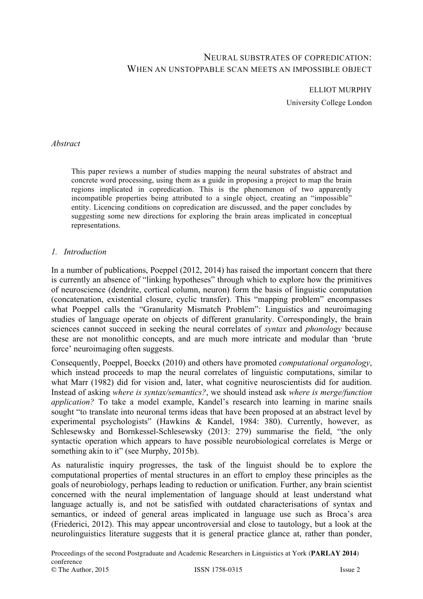# NEURAL SUBSTRATES OF COPREDICATION: WHEN AN UNSTOPPABLE SCAN MEETS AN IMPOSSIBLE OBJECT

ELLIOT MURPHY

University College London

#### *Abstract*

This paper reviews a number of studies mapping the neural substrates of abstract and concrete word processing, using them as a guide in proposing a project to map the brain regions implicated in copredication. This is the phenomenon of two apparently incompatible properties being attributed to a single object, creating an "impossible" entity. Licencing conditions on copredication are discussed, and the paper concludes by suggesting some new directions for exploring the brain areas implicated in conceptual representations.

#### *1. Introduction*

In a number of publications, Poeppel (2012, 2014) has raised the important concern that there is currently an absence of "linking hypotheses" through which to explore how the primitives of neuroscience (dendrite, cortical column, neuron) form the basis of linguistic computation (concatenation, existential closure, cyclic transfer). This "mapping problem" encompasses what Poeppel calls the "Granularity Mismatch Problem": Linguistics and neuroimaging studies of language operate on objects of different granularity. Correspondingly, the brain sciences cannot succeed in seeking the neural correlates of *syntax* and *phonology* because these are not monolithic concepts, and are much more intricate and modular than 'brute force' neuroimaging often suggests.

Consequently, Poeppel, Boeckx (2010) and others have promoted *computational organology*, which instead proceeds to map the neural correlates of linguistic computations, similar to what Marr (1982) did for vision and, later, what cognitive neuroscientists did for audition. Instead of asking *where is syntax/semantics?*, we should instead ask *where is merge/function application?* To take a model example, Kandel's research into learning in marine snails sought "to translate into neuronal terms ideas that have been proposed at an abstract level by experimental psychologists" (Hawkins & Kandel, 1984: 380). Currently, however, as Schlesewsky and Bornkessel-Schlesewsky (2013: 279) summarise the field, "the only syntactic operation which appears to have possible neurobiological correlates is Merge or something akin to it" (see Murphy, 2015b).

As naturalistic inquiry progresses, the task of the linguist should be to explore the computational properties of mental structures in an effort to employ these principles as the goals of neurobiology, perhaps leading to reduction or unification. Further, any brain scientist concerned with the neural implementation of language should at least understand what language actually is, and not be satisfied with outdated characterisations of syntax and semantics, or indeed of general areas implicated in language use such as Broca's area (Friederici, 2012). This may appear uncontroversial and close to tautology, but a look at the neurolinguistics literature suggests that it is general practice glance at, rather than ponder,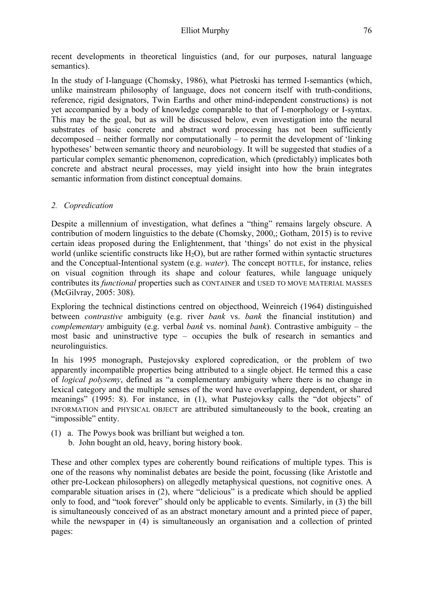recent developments in theoretical linguistics (and, for our purposes, natural language semantics).

In the study of I-language (Chomsky, 1986), what Pietroski has termed I-semantics (which, unlike mainstream philosophy of language, does not concern itself with truth-conditions, reference, rigid designators, Twin Earths and other mind-independent constructions) is not yet accompanied by a body of knowledge comparable to that of I-morphology or I-syntax. This may be the goal, but as will be discussed below, even investigation into the neural substrates of basic concrete and abstract word processing has not been sufficiently decomposed – neither formally nor computationally – to permit the development of 'linking hypotheses' between semantic theory and neurobiology. It will be suggested that studies of a particular complex semantic phenomenon, copredication, which (predictably) implicates both concrete and abstract neural processes, may yield insight into how the brain integrates semantic information from distinct conceptual domains.

# *2. Copredication*

Despite a millennium of investigation, what defines a "thing" remains largely obscure. A contribution of modern linguistics to the debate (Chomsky, 2000,; Gotham, 2015) is to revive certain ideas proposed during the Enlightenment, that 'things' do not exist in the physical world (unlike scientific constructs like  $H_2O$ ), but are rather formed within syntactic structures and the Conceptual-Intentional system (e.g. *water*). The concept BOTTLE, for instance, relies on visual cognition through its shape and colour features, while language uniquely contributes its *functional* properties such as CONTAINER and USED TO MOVE MATERIAL MASSES (McGilvray, 2005: 308).

Exploring the technical distinctions centred on objecthood, Weinreich (1964) distinguished between *contrastive* ambiguity (e.g. river *bank* vs. *bank* the financial institution) and *complementary* ambiguity (e.g. verbal *bank* vs. nominal *bank*). Contrastive ambiguity – the most basic and uninstructive type – occupies the bulk of research in semantics and neurolinguistics.

In his 1995 monograph, Pustejovsky explored copredication, or the problem of two apparently incompatible properties being attributed to a single object. He termed this a case of *logical polysemy*, defined as "a complementary ambiguity where there is no change in lexical category and the multiple senses of the word have overlapping, dependent, or shared meanings" (1995: 8). For instance, in (1), what Pustejovksy calls the "dot objects" of INFORMATION and PHYSICAL OBJECT are attributed simultaneously to the book, creating an "impossible" entity.

- (1) a. The Powys book was brilliant but weighed a ton.
	- b. John bought an old, heavy, boring history book.

These and other complex types are coherently bound reifications of multiple types. This is one of the reasons why nominalist debates are beside the point, focussing (like Aristotle and other pre-Lockean philosophers) on allegedly metaphysical questions, not cognitive ones. A comparable situation arises in (2), where "delicious" is a predicate which should be applied only to food, and "took forever" should only be applicable to events. Similarly, in (3) the bill is simultaneously conceived of as an abstract monetary amount and a printed piece of paper, while the newspaper in (4) is simultaneously an organisation and a collection of printed pages: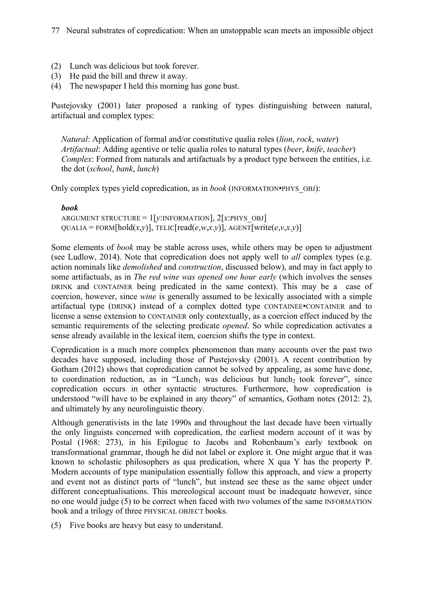- (2) Lunch was delicious but took forever.
- (3) He paid the bill and threw it away.
- (4) The newspaper I held this morning has gone bust.

Pustejovsky (2001) later proposed a ranking of types distinguishing between natural, artifactual and complex types:

*Natural*: Application of formal and/or constitutive qualia roles (*lion*, *rock*, *water*) *Artifactual*: Adding agentive or telic qualia roles to natural types (*beer*, *knife*, *teacher*) *Complex:* Formed from naturals and artifactuals by a product type between the entities, i.e. the dot (*school*, *bank*, *lunch*)

Only complex types yield copredication, as in *book* (INFORMATION•PHYS\_OBJ):

#### *book*

ARGUMENT STRUCTURE = 1[*y*:INFORMATION], 2[*x*:PHYS\_OBJ]  $\text{OUALIA} = \text{FORM}[\text{hold}(x, y)]$ , TELIC[read( $e, w, x, y$ )], AGENT[write( $e, v, x, y$ )]

Some elements of *book* may be stable across uses, while others may be open to adjustment (see Ludlow, 2014). Note that copredication does not apply well to *all* complex types (e.g. action nominals like *demolished* and *construction*, discussed below), and may in fact apply to some artifactuals, as in *The red wine was opened one hour early* (which involves the senses DRINK and CONTAINER being predicated in the same context). This may be a case of coercion, however, since *wine* is generally assumed to be lexically associated with a simple artifactual type (DRINK) instead of a complex dotted type CONTAINEE•CONTAINER and to license a sense extension to CONTAINER only contextually, as a coercion effect induced by the semantic requirements of the selecting predicate *opened*. So while copredication activates a sense already available in the lexical item, coercion shifts the type in context.

Copredication is a much more complex phenomenon than many accounts over the past two decades have supposed, including those of Pustejovsky (2001). A recent contribution by Gotham (2012) shows that copredication cannot be solved by appealing, as some have done, to coordination reduction, as in "Lunch<sub>1</sub> was delicious but lunch<sub>2</sub> took forever", since copredication occurs in other syntactic structures. Furthermore, how copredication is understood "will have to be explained in any theory" of semantics, Gotham notes (2012: 2), and ultimately by any neurolinguistic theory.

Although generativists in the late 1990s and throughout the last decade have been virtually the only linguists concerned with copredication, the earliest modern account of it was by Postal (1968: 273), in his Epilogue to Jacobs and Robenbaum's early textbook on transformational grammar, though he did not label or explore it. One might argue that it was known to scholastic philosophers as qua predication, where X qua Y has the property P. Modern accounts of type manipulation essentially follow this approach, and view a property and event not as distinct parts of "lunch", but instead see these as the same object under different conceptualisations. This mereological account must be inadequate however, since no one would judge (5) to be correct when faced with two volumes of the same INFORMATION book and a trilogy of three PHYSICAL OBJECT books.

(5) Five books are heavy but easy to understand.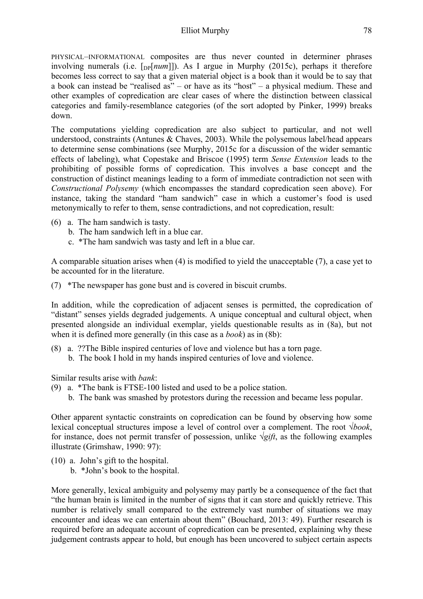PHYSICAL–INFORMATIONAL composites are thus never counted in determiner phrases involving numerals (i.e.  $[p[num]]$ ). As I argue in Murphy (2015c), perhaps it therefore becomes less correct to say that a given material object is a book than it would be to say that a book can instead be "realised as" – or have as its "host" – a physical medium. These and other examples of copredication are clear cases of where the distinction between classical categories and family-resemblance categories (of the sort adopted by Pinker, 1999) breaks down.

The computations yielding copredication are also subject to particular, and not well understood, constraints (Antunes & Chaves, 2003). While the polysemous label/head appears to determine sense combinations (see Murphy, 2015c for a discussion of the wider semantic effects of labeling), what Copestake and Briscoe (1995) term *Sense Extension* leads to the prohibiting of possible forms of copredication. This involves a base concept and the construction of distinct meanings leading to a form of immediate contradiction not seen with *Constructional Polysemy* (which encompasses the standard copredication seen above). For instance, taking the standard "ham sandwich" case in which a customer's food is used metonymically to refer to them, sense contradictions, and not copredication, result:

- (6) a. The ham sandwich is tasty.
	- b. The ham sandwich left in a blue car.
	- c. \*The ham sandwich was tasty and left in a blue car.

A comparable situation arises when (4) is modified to yield the unacceptable (7), a case yet to be accounted for in the literature.

(7) \*The newspaper has gone bust and is covered in biscuit crumbs.

In addition, while the copredication of adjacent senses is permitted, the copredication of "distant" senses yields degraded judgements. A unique conceptual and cultural object, when presented alongside an individual exemplar, yields questionable results as in (8a), but not when it is defined more generally (in this case as a *book*) as in (8b):

(8) a. ??The Bible inspired centuries of love and violence but has a torn page. b. The book I hold in my hands inspired centuries of love and violence.

Similar results arise with *bank*:

- (9) a. \*The bank is FTSE-100 listed and used to be a police station.
	- b. The bank was smashed by protestors during the recession and became less popular.

Other apparent syntactic constraints on copredication can be found by observing how some lexical conceptual structures impose a level of control over a complement. The root √*book*, for instance, does not permit transfer of possession, unlike √*gift*, as the following examples illustrate (Grimshaw, 1990: 97):

- (10) a. John's gift to the hospital.
	- b. \*John's book to the hospital.

More generally, lexical ambiguity and polysemy may partly be a consequence of the fact that "the human brain is limited in the number of signs that it can store and quickly retrieve. This number is relatively small compared to the extremely vast number of situations we may encounter and ideas we can entertain about them" (Bouchard, 2013: 49). Further research is required before an adequate account of copredication can be presented, explaining why these judgement contrasts appear to hold, but enough has been uncovered to subject certain aspects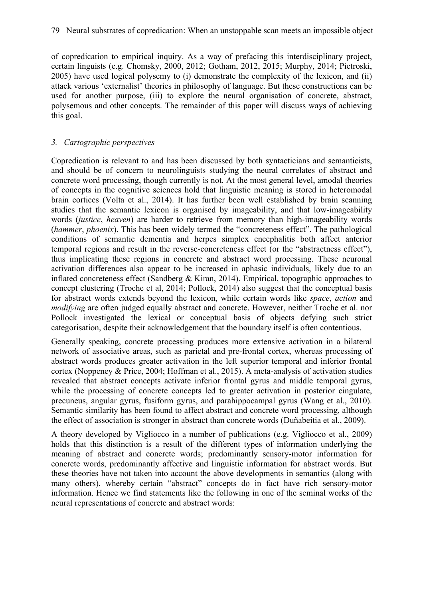of copredication to empirical inquiry. As a way of prefacing this interdisciplinary project, certain linguists (e.g. Chomsky, 2000, 2012; Gotham, 2012, 2015; Murphy, 2014; Pietroski, 2005) have used logical polysemy to (i) demonstrate the complexity of the lexicon, and (ii) attack various 'externalist' theories in philosophy of language. But these constructions can be used for another purpose, (iii) to explore the neural organisation of concrete, abstract, polysemous and other concepts. The remainder of this paper will discuss ways of achieving this goal.

## *3. Cartographic perspectives*

Copredication is relevant to and has been discussed by both syntacticians and semanticists, and should be of concern to neurolinguists studying the neural correlates of abstract and concrete word processing, though currently is not. At the most general level, amodal theories of concepts in the cognitive sciences hold that linguistic meaning is stored in heteromodal brain cortices (Volta et al., 2014). It has further been well established by brain scanning studies that the semantic lexicon is organised by imageability, and that low-imageability words (*justice*, *heaven*) are harder to retrieve from memory than high-imageability words (*hammer*, *phoenix*). This has been widely termed the "concreteness effect". The pathological conditions of semantic dementia and herpes simplex encephalitis both affect anterior temporal regions and result in the reverse-concreteness effect (or the "abstractness effect"), thus implicating these regions in concrete and abstract word processing. These neuronal activation differences also appear to be increased in aphasic individuals, likely due to an inflated concreteness effect (Sandberg & Kiran, 2014). Empirical, topographic approaches to concept clustering (Troche et al, 2014; Pollock, 2014) also suggest that the conceptual basis for abstract words extends beyond the lexicon, while certain words like *space*, *action* and *modifying* are often judged equally abstract and concrete. However, neither Troche et al. nor Pollock investigated the lexical or conceptual basis of objects defying such strict categorisation, despite their acknowledgement that the boundary itself is often contentious.

Generally speaking, concrete processing produces more extensive activation in a bilateral network of associative areas, such as parietal and pre-frontal cortex, whereas processing of abstract words produces greater activation in the left superior temporal and inferior frontal cortex (Noppeney & Price, 2004; Hoffman et al., 2015). A meta-analysis of activation studies revealed that abstract concepts activate inferior frontal gyrus and middle temporal gyrus, while the processing of concrete concepts led to greater activation in posterior cingulate, precuneus, angular gyrus, fusiform gyrus, and parahippocampal gyrus (Wang et al., 2010). Semantic similarity has been found to affect abstract and concrete word processing, although the effect of association is stronger in abstract than concrete words (Duñabeitia et al., 2009).

A theory developed by Vigliocco in a number of publications (e.g. Vigliocco et al., 2009) holds that this distinction is a result of the different types of information underlying the meaning of abstract and concrete words; predominantly sensory-motor information for concrete words, predominantly affective and linguistic information for abstract words. But these theories have not taken into account the above developments in semantics (along with many others), whereby certain "abstract" concepts do in fact have rich sensory-motor information. Hence we find statements like the following in one of the seminal works of the neural representations of concrete and abstract words: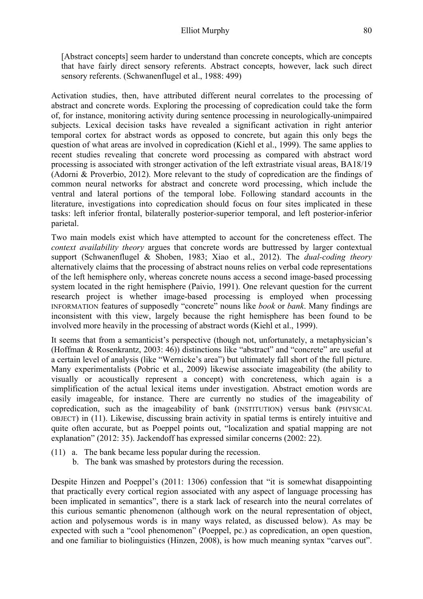[Abstract concepts] seem harder to understand than concrete concepts, which are concepts that have fairly direct sensory referents. Abstract concepts, however, lack such direct sensory referents. (Schwanenflugel et al., 1988: 499)

Activation studies, then, have attributed different neural correlates to the processing of abstract and concrete words. Exploring the processing of copredication could take the form of, for instance, monitoring activity during sentence processing in neurologically-unimpaired subjects. Lexical decision tasks have revealed a significant activation in right anterior temporal cortex for abstract words as opposed to concrete, but again this only begs the question of what areas are involved in copredication (Kiehl et al., 1999). The same applies to recent studies revealing that concrete word processing as compared with abstract word processing is associated with stronger activation of the left extrastriate visual areas, BA18/19 (Adorni & Proverbio, 2012). More relevant to the study of copredication are the findings of common neural networks for abstract and concrete word processing, which include the ventral and lateral portions of the temporal lobe. Following standard accounts in the literature, investigations into copredication should focus on four sites implicated in these tasks: left inferior frontal, bilaterally posterior-superior temporal, and left posterior-inferior parietal.

Two main models exist which have attempted to account for the concreteness effect. The *context availability theory* argues that concrete words are buttressed by larger contextual support (Schwanenflugel & Shoben, 1983; Xiao et al., 2012). The *dual-coding theory* alternatively claims that the processing of abstract nouns relies on verbal code representations of the left hemisphere only, whereas concrete nouns access a second image-based processing system located in the right hemisphere (Paivio, 1991). One relevant question for the current research project is whether image-based processing is employed when processing INFORMATION features of supposedly "concrete" nouns like *book* or *bank*. Many findings are inconsistent with this view, largely because the right hemisphere has been found to be involved more heavily in the processing of abstract words (Kiehl et al., 1999).

It seems that from a semanticist's perspective (though not, unfortunately, a metaphysician's (Hoffman & Rosenkrantz, 2003: 46)) distinctions like "abstract" and "concrete" are useful at a certain level of analysis (like "Wernicke's area") but ultimately fall short of the full picture. Many experimentalists (Pobric et al., 2009) likewise associate imageability (the ability to visually or acoustically represent a concept) with concreteness, which again is a simplification of the actual lexical items under investigation. Abstract emotion words are easily imageable, for instance. There are currently no studies of the imageability of copredication, such as the imageability of bank (INSTITUTION) versus bank (PHYSICAL OBJECT) in (11). Likewise, discussing brain activity in spatial terms is entirely intuitive and quite often accurate, but as Poeppel points out, "localization and spatial mapping are not explanation" (2012: 35). Jackendoff has expressed similar concerns (2002: 22).

- (11) a. The bank became less popular during the recession.
	- b. The bank was smashed by protestors during the recession.

Despite Hinzen and Poeppel's (2011: 1306) confession that "it is somewhat disappointing that practically every cortical region associated with any aspect of language processing has been implicated in semantics", there is a stark lack of research into the neural correlates of this curious semantic phenomenon (although work on the neural representation of object, action and polysemous words is in many ways related, as discussed below). As may be expected with such a "cool phenomenon" (Poeppel, pc.) as copredication, an open question, and one familiar to biolinguistics (Hinzen, 2008), is how much meaning syntax "carves out".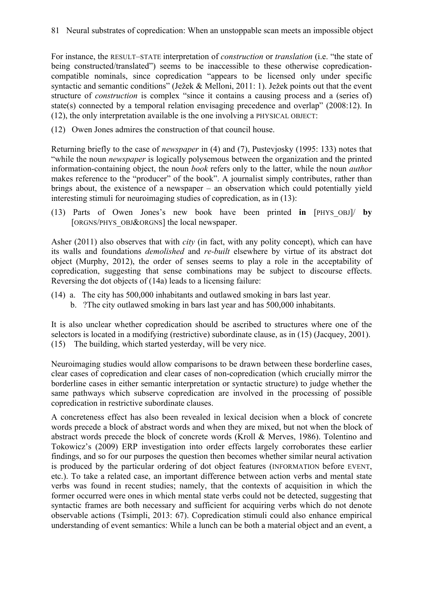For instance, the RESULT–STATE interpretation of *construction* or *translation* (i.e. "the state of being constructed/translated") seems to be inaccessible to these otherwise copredicationcompatible nominals, since copredication "appears to be licensed only under specific syntactic and semantic conditions" (Ježek & Melloni, 2011: 1). Ježek points out that the event structure of *construction* is complex "since it contains a causing process and a (series of) state(s) connected by a temporal relation envisaging precedence and overlap" (2008:12). In (12), the only interpretation available is the one involving a PHYSICAL OBJECT:

(12) Owen Jones admires the construction of that council house.

Returning briefly to the case of *newspaper* in (4) and (7), Pustevjosky (1995: 133) notes that "while the noun *newspaper* is logically polysemous between the organization and the printed information-containing object, the noun *book* refers only to the latter, while the noun *author* makes reference to the "producer" of the book". A journalist simply contributes, rather than brings about, the existence of a newspaper – an observation which could potentially yield interesting stimuli for neuroimaging studies of copredication, as in (13):

(13) Parts of Owen Jones's new book have been printed **in** [PHYS\_OBJ]/ **by** [ORGNS/PHYS\_OBJ&ORGNS] the local newspaper.

Asher (2011) also observes that with *city* (in fact, with any polity concept), which can have its walls and foundations *demolished* and *re-built* elsewhere by virtue of its abstract dot object (Murphy, 2012), the order of senses seems to play a role in the acceptability of copredication, suggesting that sense combinations may be subject to discourse effects. Reversing the dot objects of (14a) leads to a licensing failure:

- (14) a. The city has 500,000 inhabitants and outlawed smoking in bars last year.
	- b. ?The city outlawed smoking in bars last year and has 500,000 inhabitants.

It is also unclear whether copredication should be ascribed to structures where one of the selectors is located in a modifying (restrictive) subordinate clause, as in (15) (Jacquey, 2001). (15) The building, which started yesterday, will be very nice.

Neuroimaging studies would allow comparisons to be drawn between these borderline cases, clear cases of copredication and clear cases of non-copredication (which crucially mirror the borderline cases in either semantic interpretation or syntactic structure) to judge whether the same pathways which subserve copredication are involved in the processing of possible copredication in restrictive subordinate clauses.

A concreteness effect has also been revealed in lexical decision when a block of concrete words precede a block of abstract words and when they are mixed, but not when the block of abstract words precede the block of concrete words (Kroll & Merves, 1986). Tolentino and Tokowicz's (2009) ERP investigation into order effects largely corroborates these earlier findings, and so for our purposes the question then becomes whether similar neural activation is produced by the particular ordering of dot object features (INFORMATION before EVENT, etc.). To take a related case, an important difference between action verbs and mental state verbs was found in recent studies; namely, that the contexts of acquisition in which the former occurred were ones in which mental state verbs could not be detected, suggesting that syntactic frames are both necessary and sufficient for acquiring verbs which do not denote observable actions (Tsimpli, 2013: 67). Copredication stimuli could also enhance empirical understanding of event semantics: While a lunch can be both a material object and an event, a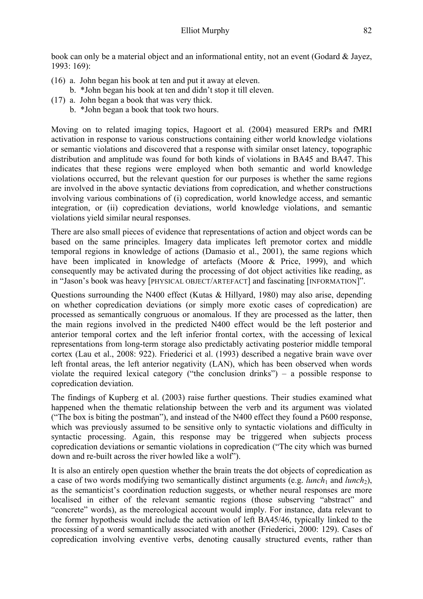book can only be a material object and an informational entity, not an event (Godard & Jayez, 1993: 169):

- (16) a. John began his book at ten and put it away at eleven.
	- b. \*John began his book at ten and didn't stop it till eleven.
- (17) a. John began a book that was very thick.
	- b. \*John began a book that took two hours.

Moving on to related imaging topics, Hagoort et al. (2004) measured ERPs and fMRI activation in response to various constructions containing either world knowledge violations or semantic violations and discovered that a response with similar onset latency, topographic distribution and amplitude was found for both kinds of violations in BA45 and BA47. This indicates that these regions were employed when both semantic and world knowledge violations occurred, but the relevant question for our purposes is whether the same regions are involved in the above syntactic deviations from copredication, and whether constructions involving various combinations of (i) copredication, world knowledge access, and semantic integration, or (ii) copredication deviations, world knowledge violations, and semantic violations yield similar neural responses.

There are also small pieces of evidence that representations of action and object words can be based on the same principles. Imagery data implicates left premotor cortex and middle temporal regions in knowledge of actions (Damasio et al., 2001), the same regions which have been implicated in knowledge of artefacts (Moore & Price, 1999), and which consequently may be activated during the processing of dot object activities like reading, as in "Jason's book was heavy [PHYSICAL OBJECT/ARTEFACT] and fascinating [INFORMATION]".

Questions surrounding the N400 effect (Kutas & Hillyard, 1980) may also arise, depending on whether copredication deviations (or simply more exotic cases of copredication) are processed as semantically congruous or anomalous. If they are processed as the latter, then the main regions involved in the predicted N400 effect would be the left posterior and anterior temporal cortex and the left inferior frontal cortex, with the accessing of lexical representations from long-term storage also predictably activating posterior middle temporal cortex (Lau et al., 2008: 922). Friederici et al. (1993) described a negative brain wave over left frontal areas, the left anterior negativity (LAN), which has been observed when words violate the required lexical category ("the conclusion drinks") – a possible response to copredication deviation.

The findings of Kupberg et al. (2003) raise further questions. Their studies examined what happened when the thematic relationship between the verb and its argument was violated ("The box is biting the postman"), and instead of the N400 effect they found a P600 response, which was previously assumed to be sensitive only to syntactic violations and difficulty in syntactic processing. Again, this response may be triggered when subjects process copredication deviations or semantic violations in copredication ("The city which was burned down and re-built across the river howled like a wolf").

It is also an entirely open question whether the brain treats the dot objects of copredication as a case of two words modifying two semantically distinct arguments (e.g. *lunch*<sub>1</sub> and *lunch*<sub>2</sub>), as the semanticist's coordination reduction suggests, or whether neural responses are more localised in either of the relevant semantic regions (those subserving "abstract" and "concrete" words), as the mereological account would imply. For instance, data relevant to the former hypothesis would include the activation of left BA45/46, typically linked to the processing of a word semantically associated with another (Friederici, 2000: 129). Cases of copredication involving eventive verbs, denoting causally structured events, rather than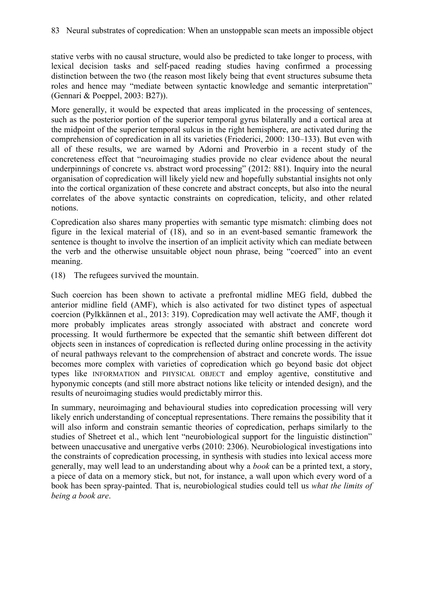stative verbs with no causal structure, would also be predicted to take longer to process, with lexical decision tasks and self-paced reading studies having confirmed a processing distinction between the two (the reason most likely being that event structures subsume theta roles and hence may "mediate between syntactic knowledge and semantic interpretation" (Gennari & Poeppel, 2003: B27)).

More generally, it would be expected that areas implicated in the processing of sentences, such as the posterior portion of the superior temporal gyrus bilaterally and a cortical area at the midpoint of the superior temporal sulcus in the right hemisphere, are activated during the comprehension of copredication in all its varieties (Friederici, 2000: 130–133). But even with all of these results, we are warned by Adorni and Proverbio in a recent study of the concreteness effect that "neuroimaging studies provide no clear evidence about the neural underpinnings of concrete vs. abstract word processing" (2012: 881). Inquiry into the neural organisation of copredication will likely yield new and hopefully substantial insights not only into the cortical organization of these concrete and abstract concepts, but also into the neural correlates of the above syntactic constraints on copredication, telicity, and other related notions.

Copredication also shares many properties with semantic type mismatch: climbing does not figure in the lexical material of (18), and so in an event-based semantic framework the sentence is thought to involve the insertion of an implicit activity which can mediate between the verb and the otherwise unsuitable object noun phrase, being "coerced" into an event meaning.

(18) The refugees survived the mountain.

Such coercion has been shown to activate a prefrontal midline MEG field, dubbed the anterior midline field (AMF), which is also activated for two distinct types of aspectual coercion (Pylkkännen et al., 2013: 319). Copredication may well activate the AMF, though it more probably implicates areas strongly associated with abstract and concrete word processing. It would furthermore be expected that the semantic shift between different dot objects seen in instances of copredication is reflected during online processing in the activity of neural pathways relevant to the comprehension of abstract and concrete words. The issue becomes more complex with varieties of copredication which go beyond basic dot object types like INFORMATION and PHYSICAL OBJECT and employ agentive, constitutive and hyponymic concepts (and still more abstract notions like telicity or intended design), and the results of neuroimaging studies would predictably mirror this.

In summary, neuroimaging and behavioural studies into copredication processing will very likely enrich understanding of conceptual representations. There remains the possibility that it will also inform and constrain semantic theories of copredication, perhaps similarly to the studies of Shetreet et al., which lent "neurobiological support for the linguistic distinction" between unaccusative and unergative verbs (2010: 2306). Neurobiological investigations into the constraints of copredication processing, in synthesis with studies into lexical access more generally, may well lead to an understanding about why a *book* can be a printed text, a story, a piece of data on a memory stick, but not, for instance, a wall upon which every word of a book has been spray-painted. That is, neurobiological studies could tell us *what the limits of being a book are*.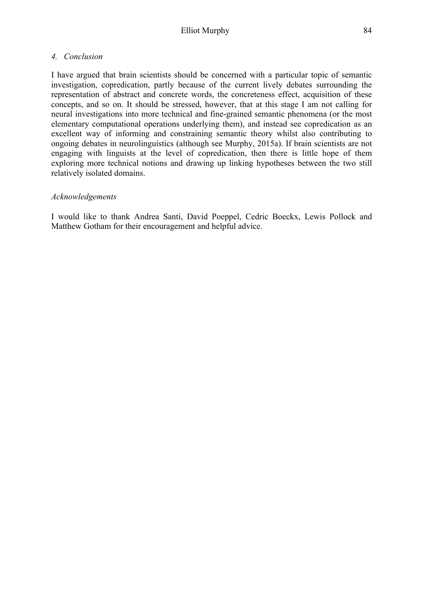## *4. Conclusion*

I have argued that brain scientists should be concerned with a particular topic of semantic investigation, copredication, partly because of the current lively debates surrounding the representation of abstract and concrete words, the concreteness effect, acquisition of these concepts, and so on. It should be stressed, however, that at this stage I am not calling for neural investigations into more technical and fine-grained semantic phenomena (or the most elementary computational operations underlying them), and instead see copredication as an excellent way of informing and constraining semantic theory whilst also contributing to ongoing debates in neurolinguistics (although see Murphy, 2015a). If brain scientists are not engaging with linguists at the level of copredication, then there is little hope of them exploring more technical notions and drawing up linking hypotheses between the two still relatively isolated domains.

### *Acknowledgements*

I would like to thank Andrea Santi, David Poeppel, Cedric Boeckx, Lewis Pollock and Matthew Gotham for their encouragement and helpful advice.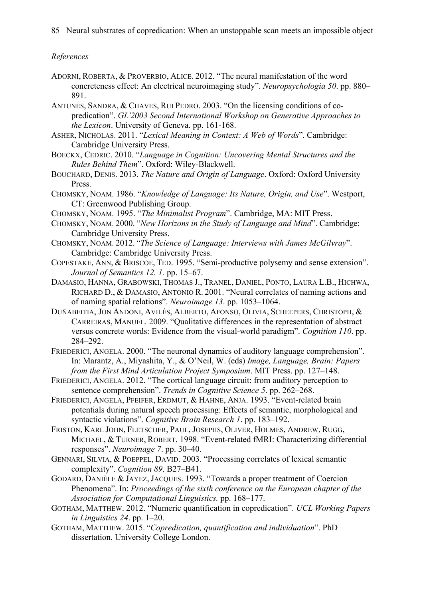85 Neural substrates of copredication: When an unstoppable scan meets an impossible object

# *References*

- ADORNI, ROBERTA, & PROVERBIO, ALICE. 2012. "The neural manifestation of the word concreteness effect: An electrical neuroimaging study". *Neuropsychologia 50*. pp. 880– 891.
- ANTUNES, SANDRA, & CHAVES, RUI PEDRO. 2003. "On the licensing conditions of copredication". *GL'2003 Second International Workshop on Generative Approaches to the Lexicon*. University of Geneva. pp. 161-168.
- ASHER, NICHOLAS. 2011. "*Lexical Meaning in Context: A Web of Words*". Cambridge: Cambridge University Press.
- BOECKX, CEDRIC. 2010. "*Language in Cognition: Uncovering Mental Structures and the Rules Behind Them*". Oxford: Wiley-Blackwell.
- BOUCHARD, DENIS. 2013. *The Nature and Origin of Language*. Oxford: Oxford University Press.
- CHOMSKY, NOAM. 1986. "*Knowledge of Language: Its Nature, Origin, and Use*". Westport, CT: Greenwood Publishing Group.
- CHOMSKY, NOAM. 1995. "*The Minimalist Program*". Cambridge, MA: MIT Press.
- CHOMSKY, NOAM. 2000. "*New Horizons in the Study of Language and Mind*". Cambridge: Cambridge University Press.
- CHOMSKY, NOAM. 2012. "*The Science of Language: Interviews with James McGilvray*". Cambridge: Cambridge University Press.
- COPESTAKE, ANN, & BRISCOE, TED. 1995. "Semi-productive polysemy and sense extension". *Journal of Semantics 12. 1.* pp. 15–67.
- DAMASIO, HANNA, GRABOWSKI, THOMAS J., TRANEL, DANIEL, PONTO, LAURA L.B., HICHWA, RICHARD D., & DAMASIO, ANTONIO R. 2001. "Neural correlates of naming actions and of naming spatial relations". *Neuroimage 13*. pp. 1053–1064.
- DUÑABEITIA, JON ANDONI, AVILÉS, ALBERTO, AFONSO, OLIVIA, SCHEEPERS, CHRISTOPH, & CARREIRAS, MANUEL. 2009. "Qualitative differences in the representation of abstract versus concrete words: Evidence from the visual-world paradigm". *Cognition 110*. pp. 284–292.
- FRIEDERICI, ANGELA. 2000. "The neuronal dynamics of auditory language comprehension". In: Marantz, A., Miyashita, Y., & O'Neil, W. (eds) *Image, Language, Brain: Papers from the First Mind Articulation Project Symposium*. MIT Press. pp. 127–148.
- FRIEDERICI, ANGELA. 2012. "The cortical language circuit: from auditory perception to sentence comprehension". *Trends in Cognitive Science 5*. pp. 262–268.
- FRIEDERICI, ANGELA, PFEIFER, ERDMUT, & HAHNE, ANJA. 1993. "Event-related brain potentials during natural speech processing: Effects of semantic, morphological and syntactic violations". *Cognitive Brain Research 1*. pp. 183–192.
- FRISTON, KARL JOHN, FLETSCHER, PAUL, JOSEPHS, OLIVER, HOLMES, ANDREW, RUGG, MICHAEL, & TURNER, ROBERT. 1998. "Event-related fMRI: Characterizing differential responses". *Neuroimage 7*. pp. 30–40.
- GENNARI, SILVIA, & POEPPEL, DAVID. 2003. "Processing correlates of lexical semantic complexity". *Cognition 89*. B27–B41.
- GODARD, DANIÈLE & JAYEZ, JACQUES. 1993. "Towards a proper treatment of Coercion Phenomena". In: *Proceedings of the sixth conference on the European chapter of the Association for Computational Linguistics.* pp. 168–177.
- GOTHAM, MATTHEW. 2012. "Numeric quantification in copredication". *UCL Working Papers in Linguistics 24*. pp. 1–20.
- GOTHAM, MATTHEW. 2015. "*Copredication, quantification and individuation*". PhD dissertation. University College London.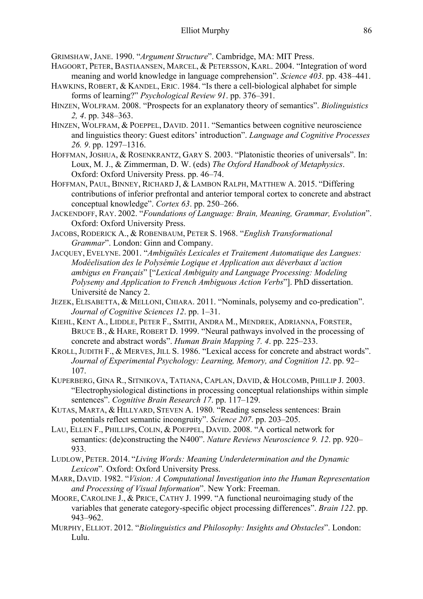GRIMSHAW, JANE. 1990. "*Argument Structure*". Cambridge, MA: MIT Press.

- HAGOORT, PETER, BASTIAANSEN, MARCEL, & PETERSSON, KARL. 2004. "Integration of word meaning and world knowledge in language comprehension". *Science 403*. pp. 438–441.
- HAWKINS, ROBERT, & KANDEL, ERIC. 1984. "Is there a cell-biological alphabet for simple forms of learning?" *Psychological Review 91*. pp. 376–391.
- HINZEN, WOLFRAM. 2008. "Prospects for an explanatory theory of semantics". *Biolinguistics 2, 4*. pp. 348–363.
- HINZEN, WOLFRAM, & POEPPEL, DAVID. 2011. "Semantics between cognitive neuroscience and linguistics theory: Guest editors' introduction". *Language and Cognitive Processes 26. 9*. pp. 1297–1316.
- HOFFMAN, JOSHUA, & ROSENKRANTZ, GARY S. 2003. "Platonistic theories of universals". In: Loux, M. J., & Zimmerman, D. W. (eds) *The Oxford Handbook of Metaphysics*. Oxford: Oxford University Press. pp. 46–74.
- HOFFMAN, PAUL, BINNEY, RICHARD J, & LAMBON RALPH, MATTHEW A. 2015. "Differing contributions of inferior prefrontal and anterior temporal cortex to concrete and abstract conceptual knowledge". *Cortex 63*. pp. 250–266.
- JACKENDOFF, RAY. 2002. "*Foundations of Language: Brain, Meaning, Grammar, Evolution*". Oxford: Oxford University Press.
- JACOBS, RODERICK A., & ROBENBAUM, PETER S. 1968. "*English Transformational Grammar*". London: Ginn and Company.
- JACQUEY, EVELYNE. 2001. "*Ambiguïtés Lexicales et Traitement Automatique des Langues: Modéelisation des le Polysémie Logique et Application aux déverbaux d'action ambigus en Français*" ["*Lexical Ambiguity and Language Processing: Modeling Polysemy and Application to French Ambiguous Action Verbs*"]. PhD dissertation. Université de Nancy 2.
- JEZEK, ELISABETTA, & MELLONI, CHIARA. 2011. "Nominals, polysemy and co-predication". *Journal of Cognitive Sciences 12*. pp. 1–31.
- KIEHL, KENT A., LIDDLE, PETER F., SMITH, ANDRA M., MENDREK, ADRIANNA, FORSTER, BRUCE B., & HARE, ROBERT D. 1999. "Neural pathways involved in the processing of concrete and abstract words". *Human Brain Mapping 7. 4*. pp. 225–233.
- KROLL, JUDITH F., & MERVES, JILL S. 1986. "Lexical access for concrete and abstract words". *Journal of Experimental Psychology: Learning, Memory, and Cognition 12*. pp. 92– 107.
- KUPERBERG, GINA R., SITNIKOVA, TATIANA, CAPLAN, DAVID, & HOLCOMB, PHILLIP J. 2003. "Electrophysiological distinctions in processing conceptual relationships within simple sentences". *Cognitive Brain Research 17*. pp. 117–129.
- KUTAS, MARTA, & HILLYARD, STEVEN A. 1980. "Reading senseless sentences: Brain potentials reflect semantic incongruity". *Science 207*. pp. 203–205.
- LAU, ELLEN F., PHILLIPS, COLIN, & POEPPEL, DAVID. 2008. "A cortical network for semantics: (de)constructing the N400". *Nature Reviews Neuroscience 9. 12*. pp. 920– 933.
- LUDLOW, PETER. 2014. "*Living Words: Meaning Underdetermination and the Dynamic Lexicon*"*.* Oxford: Oxford University Press.
- MARR, DAVID. 1982. "*Vision: A Computational Investigation into the Human Representation and Processing of Visual Information*". New York: Freeman.
- MOORE, CAROLINE J., & PRICE, CATHY J. 1999. "A functional neuroimaging study of the variables that generate category-specific object processing differences". *Brain 122*. pp. 943–962.
- MURPHY, ELLIOT. 2012. "*Biolinguistics and Philosophy: Insights and Obstacles*". London: Lulu.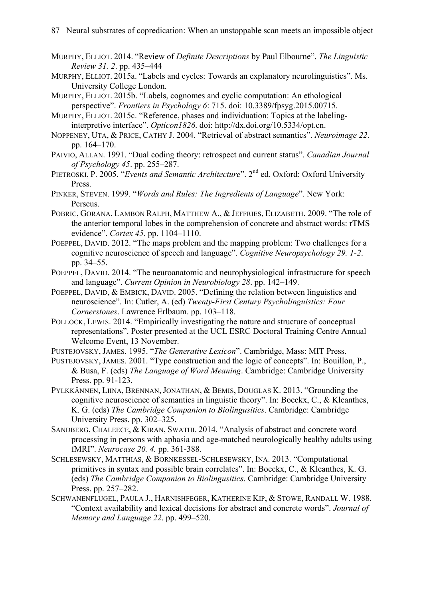- MURPHY, ELLIOT. 2014. "Review of *Definite Descriptions* by Paul Elbourne". *The Linguistic Review 31. 2*. pp. 435–444
- MURPHY, ELLIOT. 2015a. "Labels and cycles: Towards an explanatory neurolinguistics". Ms. University College London.
- MURPHY, ELLIOT. 2015b. "Labels, cognomes and cyclic computation: An ethological perspective". *Frontiers in Psychology 6*: 715. doi: 10.3389/fpsyg.2015.00715.
- MURPHY, ELLIOT. 2015c. "Reference, phases and individuation: Topics at the labelinginterpretive interface". *Opticon1826*. doi: http://dx.doi.org/10.5334/opt.cn.
- NOPPENEY, UTA, & PRICE, CATHY J. 2004. "Retrieval of abstract semantics". *Neuroimage 22*. pp. 164–170.
- PAIVIO, ALLAN. 1991. "Dual coding theory: retrospect and current status". *Canadian Journal of Psychology 45*. pp. 255–287.
- PIETROSKI, P. 2005. "*Events and Semantic Architecture*". 2<sup>nd</sup> ed. Oxford: Oxford University **Press**.
- PINKER, STEVEN. 1999. "*Words and Rules: The Ingredients of Language*". New York: Perseus.
- POBRIC, GORANA, LAMBON RALPH, MATTHEW A., & JEFFRIES, ELIZABETH. 2009. "The role of the anterior temporal lobes in the comprehension of concrete and abstract words: rTMS evidence". *Cortex 45*. pp. 1104–1110.
- POEPPEL, DAVID. 2012. "The maps problem and the mapping problem: Two challenges for a cognitive neuroscience of speech and language". *Cognitive Neuropsychology 29. 1-2*. pp. 34–55.
- POEPPEL, DAVID. 2014. "The neuroanatomic and neurophysiological infrastructure for speech and language". *Current Opinion in Neurobiology 28*. pp. 142–149.
- POEPPEL, DAVID, & EMBICK, DAVID. 2005. "Defining the relation between linguistics and neuroscience". In: Cutler, A. (ed) *Twenty-First Century Psycholinguistics: Four Cornerstones*. Lawrence Erlbaum. pp. 103–118.
- POLLOCK, LEWIS. 2014. "Empirically investigating the nature and structure of conceptual representations". Poster presented at the UCL ESRC Doctoral Training Centre Annual Welcome Event, 13 November.
- PUSTEJOVSKY, JAMES. 1995. "*The Generative Lexicon*". Cambridge, Mass: MIT Press.
- PUSTEJOVSKY, JAMES. 2001. "Type construction and the logic of concepts". In: Bouillon, P., & Busa, F. (eds) *The Language of Word Meaning*. Cambridge: Cambridge University Press. pp. 91-123.
- PYLKKÄNNEN, LIINA, BRENNAN, JONATHAN, & BEMIS, DOUGLAS K. 2013. "Grounding the cognitive neuroscience of semantics in linguistic theory". In: Boeckx, C., & Kleanthes, K. G. (eds) *The Cambridge Companion to Biolingusitics*. Cambridge: Cambridge University Press. pp. 302–325.
- SANDBERG, CHALEECE, & KIRAN, SWATHI. 2014. "Analysis of abstract and concrete word processing in persons with aphasia and age-matched neurologically healthy adults using fMRI". *Neurocase 20. 4.* pp. 361-388.
- SCHLESEWSKY, MATTHIAS, & BORNKESSEL-SCHLESEWSKY, INA. 2013. "Computational primitives in syntax and possible brain correlates". In: Boeckx, C., & Kleanthes, K. G. (eds) *The Cambridge Companion to Biolingusitics*. Cambridge: Cambridge University Press. pp. 257–282.
- SCHWANENFLUGEL, PAULA J., HARNISHFEGER, KATHERINE KIP, & STOWE, RANDALL W. 1988. "Context availability and lexical decisions for abstract and concrete words". *Journal of Memory and Language 22*. pp. 499–520.